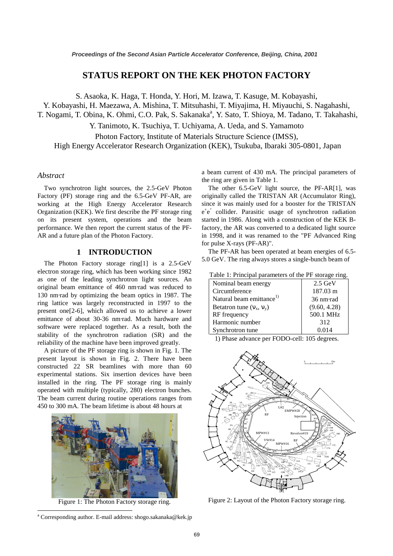# **STATUS REPORT ON THE KEK PHOTON FACTORY**

S. Asaoka, K. Haga, T. Honda, Y. Hori, M. Izawa, T. Kasuge, M. Kobayashi,

Y. Kobayashi, H. Maezawa, A. Mishina, T. Mitsuhashi, T. Miyajima, H. Miyauchi, S. Nagahashi,

T. Nogami, T. Obina, K. Ohmi, C.O. Pak, S. Sakanaka<sup>a</sup>, Y. Sato, T. Shioya, M. Tadano, T. Takahashi,

Y. Tanimoto, K. Tsuchiya, T. Uchiyama, A. Ueda, and S. Yamamoto

Photon Factory, Institute of Materials Structure Science (IMSS), High Energy Accelerator Research Organization (KEK), Tsukuba, Ibaraki 305-0801, Japan

### *Abstract*

Two synchrotron light sources, the 2.5-GeV Photon Factory (PF) storage ring and the 6.5-GeV PF-AR, are working at the High Energy Accelerator Research Organization (KEK). We first describe the PF storage ring on its present system, operations and the beam performance. We then report the current status of the PF-AR and a future plan of the Photon Factory.

## **1 INTRODUCTION**

The Photon Factory storage ring[1] is a 2.5-GeV electron storage ring, which has been working since 1982 as one of the leading synchrotron light sources. An original beam emittance of 460 nm⋅rad was reduced to 130 nm⋅rad by optimizing the beam optics in 1987. The ring lattice was largely reconstructed in 1997 to the present one[2-6], which allowed us to achieve a lower emittance of about 30-36 nm⋅rad. Much hardware and software were replaced together. As a result, both the stability of the synchrotron radiation (SR) and the reliability of the machine have been improved greatly.

A picture of the PF storage ring is shown in Fig. 1. The present layout is shown in Fig. 2. There have been constructed 22 SR beamlines with more than 60 experimental stations. Six insertion devices have been installed in the ring. The PF storage ring is mainly operated with multiple (typically, 280) electron bunches. The beam current during routine operations ranges from 450 to 300 mA. The beam lifetime is about 48 hours at



Figure 1: The Photon Factory storage ring.

 $\overline{a}$ 

a beam current of 430 mA. The principal parameters of the ring are given in Table 1.

The other 6.5-GeV light source, the PF-AR[1], was originally called the TRISTAN AR (Accumulator Ring), since it was mainly used for a booster for the TRISTAN e<sup>+</sup>e collider. Parasitic usage of synchrotron radiation started in 1986. Along with a construction of the KEK Bfactory, the AR was converted to a dedicated light source in 1998, and it was renamed to the "PF Advanced Ring for pulse X-rays (PF-AR)".

The PF-AR has been operated at beam energies of 6.5- 5.0 GeV. The ring always stores a single-bunch beam of

Table 1: Principal parameters of the PF storage ring.

| Nominal beam energy                  | $2.5$ GeV           |
|--------------------------------------|---------------------|
| Circumference                        | 187.03 m            |
| Natural beam emittance <sup>1)</sup> | $36 \text{ nm}$ rad |
| Betatron tune $(v_x, v_y)$           | (9.60, 4.28)        |
| RF frequency                         | 500.1 MHz           |
| Harmonic number                      | 312                 |
| Synchrotron tune                     | 0.014               |

1) Phase advance per FODO-cell: 105 degrees.



Figure 2: Layout of the Photon Factory storage ring.

<sup>&</sup>lt;sup>a</sup> Corresponding author. E-mail address: shogo.sakanaka@kek.jp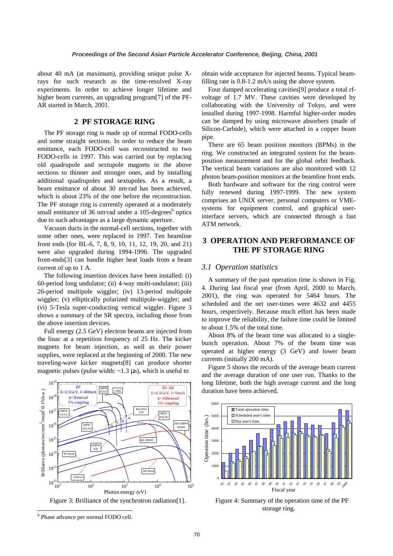about 40 mA (at maximum), providing unique pulse Xrays for such research as the time-resolved X-ray experiments. In order to achieve longer lifetime and higher beam currents, an upgrading program<sup>[7]</sup> of the PF-AR started in March, 2001.

### **2 PF STORAGE RING**

The PF storage ring is made up of normal FODO-cells and some straight sections. In order to reduce the beam emittance, each FODO-cell was reconstructed to two FODO-cells in 1997. This was carried out by replacing old quadrupole and sextupole magnets in the above sections to thinner and stronger ones, and by installing additional quadrupoles and sextupoles. As a result, a beam emittance of about 30 nm⋅rad has been achieved, which is about 23% of the one before the reconstruction. The PF storage ring is currently operated at a moderately small emittance of 36 nm⋅rad under a 105-degrees<sup>b</sup> optics due to such advantages as a large dynamic aperture.

Vacuum ducts in the normal-cell sections, together with some other ones, were replaced in 1997. Ten beamline front ends (for BL-6, 7, 8, 9, 10, 11, 12, 19, 20, and 21) were also upgraded during 1994-1996. The upgraded front-ends[3] can handle higher heat loads from a beam current of up to 1 A.

The following insertion devices have been installed: (i) 60-period long undulator; (ii) 4-way multi-undulator; (iii) 26-period multipole wiggler; (iv) 13-period multipole wiggler; (v) elliptically polarized multipole-wiggler; and (vi) 5-Tesla super-conducting vertical wiggler. Figure 3 shows a summary of the SR spectra, including those from the above insertion devices.

Full energy (2.5 GeV) electron beams are injected from the linac at a repetition frequency of 25 Hz. The kicker magnets for beam injection, as well as their power supplies, were replaced at the beginning of 2000. The new traveling-wave kicker magnets[8] can produce shorter magnetic pulses (pulse width:  $\sim$ 1.3  $\mu$ s), which is useful to



Figure 3: Brilliance of the synchrotron radiation[1].

 $\overline{a}$ 

obtain wide acceptance for injected beams. Typical beamfilling rate is  $0.8-1.2$  mA/s using the above system.

Four damped accelerating cavities[9] produce a total rfvoltage of 1.7 MV. These cavities were developed by collaborating with the University of Tokyo, and were installed during 1997-1998. Harmful higher-order modes can be damped by using microwave absorbers (made of Silicon-Carbide), which were attached in a copper beam pipe.

There are 65 beam position monitors (BPMs) in the ring. We constructed an integrated system for the beamposition measurement and for the global orbit feedback. The vertical beam variations are also monitored with 12 photon beam-position monitors at the beamline front ends.

Both hardware and software for the ring control were fully renewed during 1997-1999. The new system comprises an UNIX server, personal computers or VMEsystems for equipment control, and graphical userinterface servers, which are connected through a fast ATM network.

# **3 OPERATION AND PERFORMANCE OF THE PF STORAGE RING**

### *3.1 Operation statistics*

A summary of the past operation time is shown in Fig. 4. During last fiscal year (from April, 2000 to March, 2001), the ring was operated for 5464 hours. The scheduled and the net user-times were 4632 and 4455 hours, respectively. Because much effort has been made to improve the reliability, the failure time could be limited to about 1.5% of the total time.

About 8% of the beam time was allocated to a singlebunch operation. About 7% of the beam time was operated at higher energy (3 GeV) and lower beam currents (initially 200 mA).

Figure 5 shows the records of the average beam current and the average duration of one user run. Thanks to the long lifetime, both the high average current and the long duration have been achieved.



Figure 4: Summary of the operation time of the PF storage ring.

<sup>&</sup>lt;sup>b</sup> Phase advance per normal FODO cell.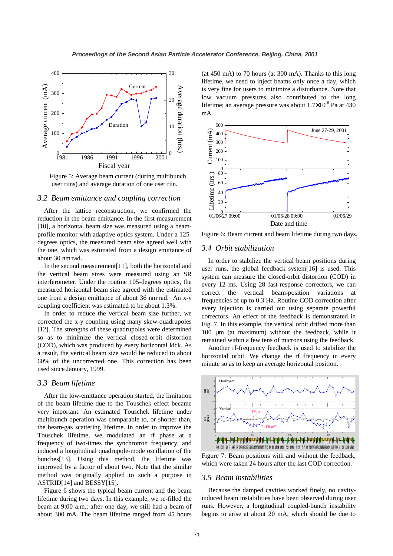

Figure 5: Average beam current (during multibunch user runs) and average duration of one user run.

# *3.2 Beam emittance and coupling correction*

After the lattice reconstruction, we confirmed the reduction in the beam emittance. In the first measurement [10], a horizontal beam size was measured using a beamprofile monitor with adaptive optics system. Under a 125 degrees optics, the measured beam size agreed well with the one, which was estimated from a design emittance of about 30 nm⋅rad.

In the second measurement[11], both the horizontal and the vertical beam sizes were measured using an SR interferometer. Under the routine 105-degrees optics, the measured horizontal beam size agreed with the estimated one from a design emittance of about 36 nm⋅rad. An x-y coupling coefficient was estimated to be about 1.3%.

In order to reduce the vertical beam size further, we corrected the x-y coupling using many skew-quadrupoles [12]. The strengths of these quadrupoles were determined so as to minimize the vertical closed-orbit distortion (COD), which was produced by every horizontal kick. As a result, the vertical beam size would be reduced to about 60% of the uncorrected one. This correction has been used since January, 1999.

#### *3.3 Beam lifetime*

After the low-emittance operation started, the limitation of the beam lifetime due to the Touschek effect became very important. An estimated Touschek lifetime under multibunch operation was comparable to, or shorter than, the beam-gas scattering lifetime. In order to improve the Touschek lifetime, we modulated an rf phase at a frequency of two-times the synchrotron frequency, and induced a longitudinal quadrupole-mode oscillation of the bunches[13]. Using this method, the lifetime was improved by a factor of about two. Note that the similar method was originally applied to such a purpose in ASTRID[14] and BESSY[15].

Figure 6 shows the typical beam current and the beam lifetime during two days. In this example, we re-filled the beam at 9:00 a.m.; after one day, we still had a beam of about 300 mA. The beam lifetime ranged from 45 hours (at 450 mA) to 70 hours (at 300 mA). Thanks to this long lifetime, we need to inject beams only once a day, which is very fine for users to minimize a disturbance. Note that low vacuum pressures also contributed to the long lifetime; an average pressure was about  $1.7 \times 10^{-8}$  Pa at 430 mA.



Figure 6: Beam current and beam lifetime during two days.

### *3.4 Orbit stabilization*

In order to stabilize the vertical beam positions during user runs, the global feedback system[16] is used. This system can measure the closed-orbit distortion (COD) in every 12 ms. Using 28 fast-response correctors, we can correct the vertical beam-position variations at frequencies of up to 0.3 Hz. Routine COD correction after every injection is carried out using separate powerful correctors. An effect of the feedback is demonstrated in Fig. 7. In this example, the vertical orbit drifted more than 100 µm (at maximum) without the feedback, while it remained within a few tens of microns using the feedback.

Another rf-frequency feedback is used to stabilize the horizontal orbit. We change the rf frequency in every minute so as to keep an average horizontal position.



Figure 7: Beam positions with and without the feedback, which were taken 24 hours after the last COD correction.

#### *3.5 Beam instabilities*

Because the damped cavities worked finely, no cavityinduced beam instabilities have been observed during user runs. However, a longitudinal coupled-bunch instability begins to arise at about 20 mA, which should be due to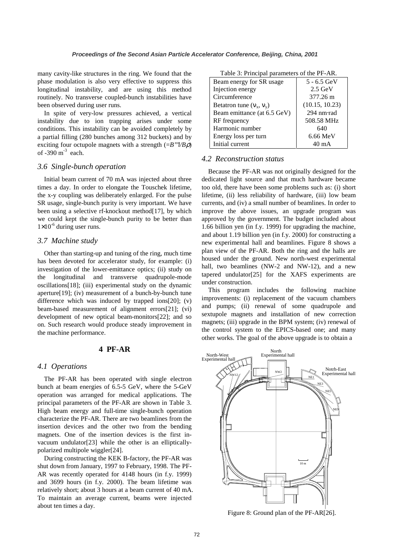many cavity-like structures in the ring. We found that the phase modulation is also very effective to suppress this longitudinal instability, and are using this method routinely. No transverse coupled-bunch instabilities have been observed during user runs.

In spite of very-low pressures achieved, a vertical instability due to ion trapping arises under some conditions. This instability can be avoided completely by a partial filling (280 bunches among 312 buckets) and by exciting four octupole magnets with a strength (=*B'''l/B*ρ) of  $-390 \text{ m}^{-3}$  each.

## *3.6 Single-bunch operation*

Initial beam current of 70 mA was injected about three times a day. In order to elongate the Touschek lifetime, the x-y coupling was deliberately enlarged. For the pulse SR usage, single-bunch purity is very important. We have been using a selective rf-knockout method[17], by which we could kept the single-bunch purity to be better than  $1\times10^{-6}$  during user runs.

## *3.7 Machine study*

Other than starting-up and tuning of the ring, much time has been devoted for accelerator study, for example: (i) investigation of the lower-emittance optics; (ii) study on the longitudinal and transverse quadrupole-mode oscillations[18]; (iii) experimental study on the dynamic aperture[19]; (iv) measurement of a bunch-by-bunch tune difference which was induced by trapped ions[20]; (v) beam-based measurement of alignment errors[21]; (vi) development of new optical beam-monitors[22]; and so on. Such research would produce steady improvement in the machine performance.

# **4 PF-AR**

### *4.1 Operations*

The PF-AR has been operated with single electron bunch at beam energies of 6.5-5 GeV, where the 5-GeV operation was arranged for medical applications. The principal parameters of the PF-AR are shown in Table 3. High beam energy and full-time single-bunch operation characterize the PF-AR. There are two beamlines from the insertion devices and the other two from the bending magnets. One of the insertion devices is the first invacuum undulator[23] while the other is an ellipticallypolarized multipole wiggler[24].

During constructing the KEK B-factory, the PF-AR was shut down from January, 1997 to February, 1998. The PF-AR was recently operated for 4148 hours (in f.y. 1999) and 3699 hours (in f.y. 2000). The beam lifetime was relatively short; about 3 hours at a beam current of 40 mA. To maintain an average current, beams were injected about ten times a day.

| Table 3: Principal parameters of the PF-AR. |  |  |  |
|---------------------------------------------|--|--|--|
|---------------------------------------------|--|--|--|

| Beam energy for SR usage    | $5 - 6.5$ GeV  |
|-----------------------------|----------------|
| Injection energy            | $2.5$ GeV      |
| Circumference               | 377.26 m       |
| Betatron tune $(v_x, v_y)$  | (10.15, 10.23) |
| Beam emittance (at 6.5 GeV) | 294 nm·rad     |
| RF frequency                | 508.58 MHz     |
| Harmonic number             | 640            |
| Energy loss per turn        | 6.66 MeV       |
| Initial current             | 40 mA          |

#### *4.2 Reconstruction status*

Because the PF-AR was not originally designed for the dedicated light source and that much hardware became too old, there have been some problems such as: (i) short lifetime, (ii) less reliability of hardware, (iii) low beam currents, and (iv) a small number of beamlines. In order to improve the above issues, an upgrade program was approved by the government. The budget included about 1.66 billion yen (in f.y. 1999) for upgrading the machine, and about 1.19 billion yen (in f.y. 2000) for constructing a new experimental hall and beamlines. Figure 8 shows a plan view of the PF-AR. Both the ring and the halls are housed under the ground. New north-west experimental hall, two beamlines (NW-2 and NW-12), and a new tapered undulator[25] for the XAFS experiments are under construction.

This program includes the following machine improvements: (i) replacement of the vacuum chambers and pumps; (ii) renewal of some quadrupole and sextupole magnets and installation of new correction magnets; (iii) upgrade in the BPM system; (iv) renewal of the control system to the EPICS-based one; and many other works. The goal of the above upgrade is to obtain a



Figure 8: Ground plan of the PF-AR[26].